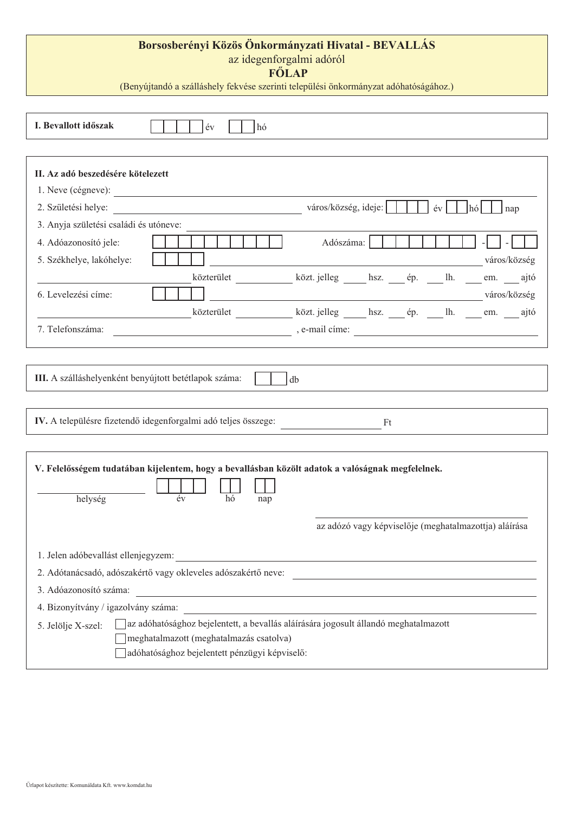## **Borsosberényi Közös Önkormányzati Hivatal - BEVALLÁS**

az idegenforgalmi adóról

 **FėLAP**

(Benyújtandó a szálláshely fekvése szerinti települési önkormányzat adóhatóságához.)

| I. Bevallott időszak                   | év<br>hó                                                                                                                                                                        |                                                                                                                        |    |    |        |                                                       |
|----------------------------------------|---------------------------------------------------------------------------------------------------------------------------------------------------------------------------------|------------------------------------------------------------------------------------------------------------------------|----|----|--------|-------------------------------------------------------|
|                                        |                                                                                                                                                                                 |                                                                                                                        |    |    |        |                                                       |
| II. Az adó beszedésére kötelezett      |                                                                                                                                                                                 |                                                                                                                        |    |    |        |                                                       |
|                                        |                                                                                                                                                                                 |                                                                                                                        |    |    |        |                                                       |
| 2. Születési helye:                    | <u> 1980 - Johann Stoff, fransk politik (d. 1980)</u>                                                                                                                           | város/község, ideje:                                                                                                   |    | év | l hó l | nap                                                   |
| 3. Anyja születési családi és utóneve: |                                                                                                                                                                                 |                                                                                                                        |    |    |        |                                                       |
| 4. Adóazonosító jele:                  |                                                                                                                                                                                 | Adószáma:                                                                                                              |    |    |        |                                                       |
| 5. Székhelye, lakóhelye:               |                                                                                                                                                                                 |                                                                                                                        |    |    |        | város/község                                          |
|                                        | közterület ______________ közt. jelleg _______ hsz. _____ ép. ______ lh. _____ em. _____ ajtó                                                                                   |                                                                                                                        |    |    |        |                                                       |
| 6. Levelezési címe:                    |                                                                                                                                                                                 | <u> 1989 - Johann Stoff, deutscher Stoffen und der Stoffen und der Stoffen und der Stoffen und der Stoffen und der</u> |    |    |        | város/község                                          |
|                                        | közterület közt jelleg hsz. ép. lh. em. ajtó                                                                                                                                    |                                                                                                                        |    |    |        |                                                       |
| 7. Telefonszáma:                       |                                                                                                                                                                                 |                                                                                                                        |    |    |        |                                                       |
|                                        |                                                                                                                                                                                 |                                                                                                                        |    |    |        |                                                       |
|                                        |                                                                                                                                                                                 |                                                                                                                        |    |    |        |                                                       |
|                                        | IV. A településre fizetendő idegenforgalmi adó teljes összege:                                                                                                                  |                                                                                                                        | Ft |    |        |                                                       |
|                                        |                                                                                                                                                                                 |                                                                                                                        |    |    |        |                                                       |
| helység                                | V. Felelősségem tudatában kijelentem, hogy a bevallásban közölt adatok a valóságnak megfelelnek.<br>év<br>hó<br>nap                                                             |                                                                                                                        |    |    |        |                                                       |
|                                        |                                                                                                                                                                                 |                                                                                                                        |    |    |        | az adózó vagy képviselője (meghatalmazottja) aláírása |
| 1. Jelen adóbevallást ellenjegyzem:    |                                                                                                                                                                                 |                                                                                                                        |    |    |        |                                                       |
|                                        | 2. Adótanácsadó, adószakértő vagy okleveles adószakértő neve:                                                                                                                   |                                                                                                                        |    |    |        |                                                       |
| 3. Adóazonosító száma:                 | <u> 1989 - Andrea Stadt, fransk politik (d. 1989)</u>                                                                                                                           |                                                                                                                        |    |    |        |                                                       |
| 4. Bizonyítvány / igazolvány száma:    | <u> 1980 - Andrea Station Barbara, amerikan personal (h. 1980).</u>                                                                                                             |                                                                                                                        |    |    |        |                                                       |
| 5. Jelölje X-szel:                     | az adóhatósághoz bejelentett, a bevallás aláírására jogosult állandó meghatalmazott<br>meghatalmazott (meghatalmazás csatolva)<br>adóhatósághoz bejelentett pénzügyi képviselő: |                                                                                                                        |    |    |        |                                                       |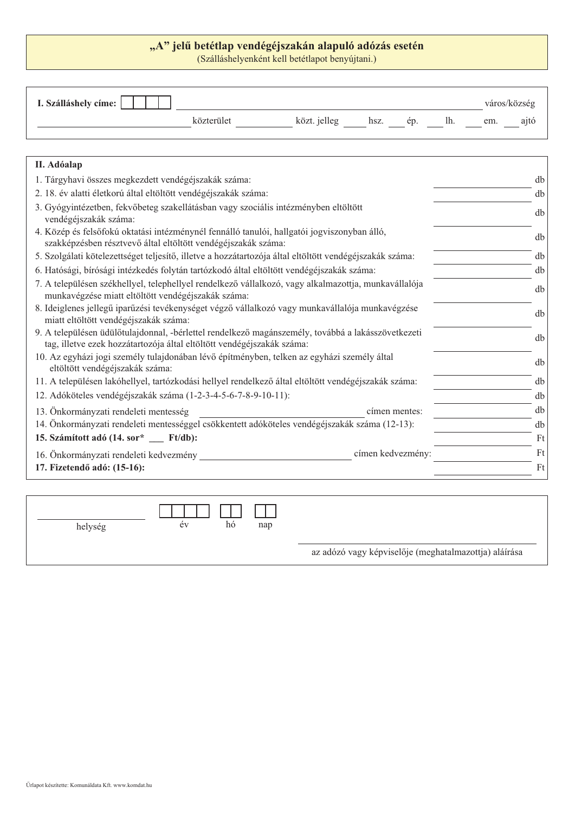## "A" jelű betétlap vendégéjszakán alapuló adózás esetén

(Szálláshelyenként kell betétlapot benyújtani.)

| I. Szálláshely címe:                                                                                                                                         |            |                           |  |  |  |     | város/község |
|--------------------------------------------------------------------------------------------------------------------------------------------------------------|------------|---------------------------|--|--|--|-----|--------------|
|                                                                                                                                                              | közterület | közt. jelleg hsz. ép. lh. |  |  |  | em. | ajtó         |
|                                                                                                                                                              |            |                           |  |  |  |     |              |
| II. Adóalap                                                                                                                                                  |            |                           |  |  |  |     |              |
| 1. Tárgyhavi összes megkezdett vendégéjszakák száma:                                                                                                         |            |                           |  |  |  |     | db           |
| 2. 18. év alatti életkorú által eltöltött vendégéjszakák száma:                                                                                              |            |                           |  |  |  |     | db           |
| 3. Gyógyintézetben, fekvőbeteg szakellátásban vagy szociális intézményben eltöltött<br>vendégéjszakák száma:                                                 |            |                           |  |  |  |     | db           |
| 4. Közép és felsőfokú oktatási intézménynél fennálló tanulói, hallgatói jogyiszonyban álló,<br>szakképzésben résztvevő által eltöltött vendégéjszakák száma: |            |                           |  |  |  |     | db           |
| 5. Szolgálati kötelezettséget teljesítő, illetve a hozzátartozója által eltöltött vendégéjszakák száma:                                                      |            |                           |  |  |  |     | db           |
| 6. Hatósági, bírósági intézkedés folytán tartózkodó által eltöltött vendégéjszakák száma:                                                                    |            |                           |  |  |  |     | db           |

|  |                                                    | 7. A településen székhellyel, telephellyel rendelkező vállalkozó, vagy alkalmazottja, munkavállalója | dh |
|--|----------------------------------------------------|------------------------------------------------------------------------------------------------------|----|
|  | munkavégzése miatt eltöltött vendégéjszakák száma: |                                                                                                      |    |

- 8. Ideiglenes jellegű iparűzési tevékenységet végző vállalkozó vagy munkavállalója munkavégzése ndergienes jenegu iparuzesi tevekenyseget vegzo vanankozo vagy munkavanaloja munkavegzese<br>miatt eltöltött vendégéjszakák száma:
- 9. A településen üdülőtulajdonnal, -bérlettel rendelkező magánszemély, továbbá a lakásszövetkezeti Which changes a dialogue and position of the changes of the same of the changes of the control of the control of the control of the control of the control of the control of the control of the control of the control of the
- 10. Az egyházi jogi személy tulajdonában lévő építményben, telken az egyházi személy által Az egynázi jogi szemely unajuonában levő epinnenyben, telken az egynázi szemely anai<br>eltöltött vendégéjszakák száma:
- 11. A településen lakóhellyel, tartózkodási hellyel rendelkező által eltöltött vendégéjszakák száma: db
- 12. Adóköteles vendégéjszakák száma (1-2-3-4-5-6-7-8-9-10-11):
- 13. Önkormányzati rendeleti mentesség db címen mentes: db
- 14. Önkormányzati rendeleti mentességgel csökkentett adóköteles vendégéjszakák száma (12-13): db
- **6]iPtWRWWDGyVRU
)WGE** Ft **BBB**
- 16. Önkormányzati rendeleti kedvezmény eletette kedvezmény a magyar formen kedvezmény:
- **17. Fizetendő adó: (15-16):** Ft